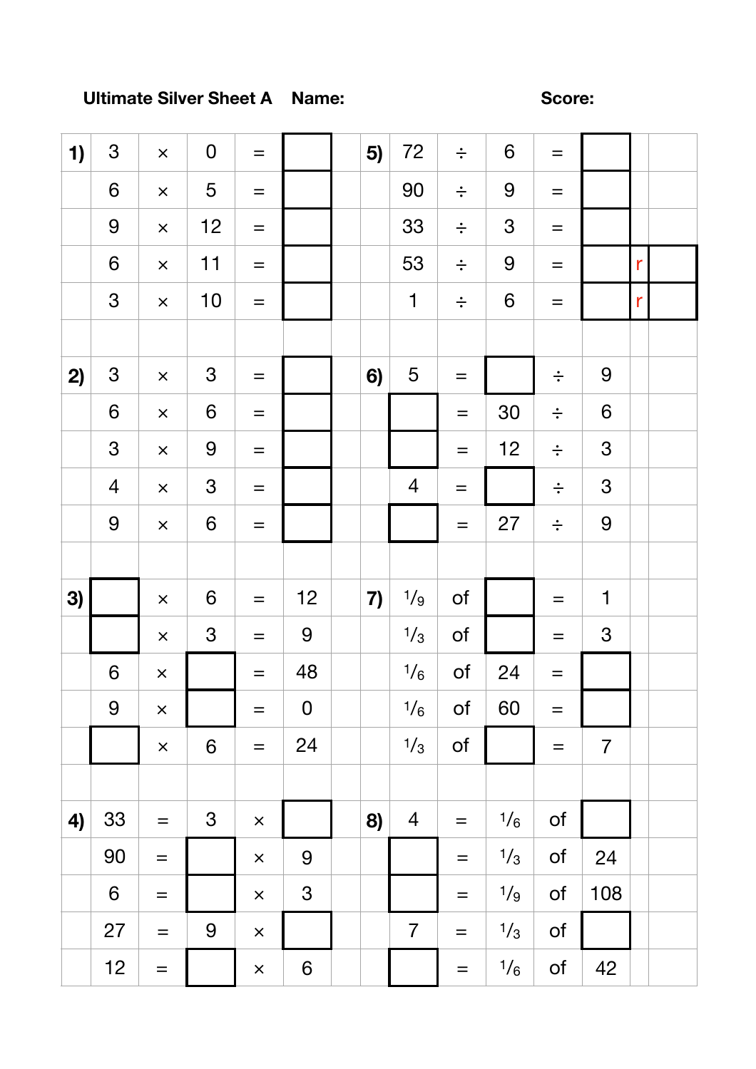## **Ultimate Silver Sheet A Name: Score: Score:**

| 1) | $\mathfrak{S}$   | $\times$          | $\pmb{0}$        | $\equiv$          |                  | 5) | 72             | $\div$            | $\boldsymbol{6}$ | $\qquad \qquad =$ |                  |              |  |
|----|------------------|-------------------|------------------|-------------------|------------------|----|----------------|-------------------|------------------|-------------------|------------------|--------------|--|
|    | $\boldsymbol{6}$ | $\times$          | 5                | $\qquad \qquad =$ |                  |    | 90             | $\div$            | 9                | $=$               |                  |              |  |
|    | $\overline{9}$   | $\times$          | 12               | $\equiv$          |                  |    | 33             | $\div$            | 3                | $=$               |                  |              |  |
|    | $\boldsymbol{6}$ | $\times$          | 11               | $=$               |                  |    | 53             | $\div$            | 9                | $=$               |                  | $\mathsf{r}$ |  |
|    | 3                | $\times$          | 10               | $\qquad \qquad =$ |                  |    | $\mathbf 1$    | $\div$            | $\boldsymbol{6}$ | $=$               |                  | $\mathsf{r}$ |  |
|    |                  |                   |                  |                   |                  |    |                |                   |                  |                   |                  |              |  |
| 2) | $\mathfrak{S}$   | $\times$          | $\mathfrak{S}$   | $=$               |                  | 6) | 5              | $=$               |                  | $\div$            | 9                |              |  |
|    | $\boldsymbol{6}$ | $\times$          | $\,$ 6 $\,$      | $\qquad \qquad =$ |                  |    |                | $\equiv$          | 30               | $\div$            | $\boldsymbol{6}$ |              |  |
|    | $\mathfrak{S}$   | $\times$          | $\boldsymbol{9}$ | $\equiv$          |                  |    |                | $=$               | 12               | $\div$            | $\mathfrak{S}$   |              |  |
|    | $\overline{4}$   | $\times$          | $\mathfrak{S}$   | $\qquad \qquad =$ |                  |    | $\overline{4}$ | $\qquad \qquad =$ |                  | $\div$            | $\mathfrak{S}$   |              |  |
|    | 9                | $\times$          | 6                | $=$               |                  |    |                | $=$               | 27               | $\div$            | $\overline{9}$   |              |  |
|    |                  |                   |                  |                   |                  |    |                |                   |                  |                   |                  |              |  |
| 3) |                  | $\times$          | $\boldsymbol{6}$ | $\qquad \qquad =$ | 12               | 7) | 1/g            | $\circ$ f         |                  | $=$               | $\mathbf 1$      |              |  |
|    |                  | $\times$          | $\mathfrak{S}$   | $=$               | $\boldsymbol{9}$ |    | 1/3            | $\mathsf{of}$     |                  | $=$               | $\mathfrak{S}$   |              |  |
|    | 6                | $\times$          |                  | $=$               | 48               |    | $\frac{1}{6}$  | $\mathsf{of}$     | 24               | $=$               |                  |              |  |
|    | 9                | $\times$          |                  | $=$               | $\pmb{0}$        |    | 1/6            | $\mathsf{of}$     | 60               | $=$               |                  |              |  |
|    |                  | $\times$          | $6\,$            | $=$               | 24               |    | 1/3            | of                |                  | $\equiv$          | $\overline{7}$   |              |  |
|    |                  |                   |                  |                   |                  |    |                |                   |                  |                   |                  |              |  |
| 4) | 33               | $\equiv$          | $\mathfrak 3$    | $\pmb{\times}$    |                  | 8) | $\overline{4}$ | $\equiv$          | $\frac{1}{6}$    | of                |                  |              |  |
|    | 90               | $\equiv$          |                  | $\times$          | 9                |    |                | $\equiv$          | 1/3              | $\circ$ f         | 24               |              |  |
|    | $\boldsymbol{6}$ | $\quad =$         |                  | $\times$          | $\mathfrak{S}$   |    |                | $\!\!\!=\!\!\!\!$ | 1/g              | $\circ$ f         | 108              |              |  |
|    | 27               | $\qquad \qquad =$ | $\boldsymbol{9}$ | $\times$          |                  |    | $\overline{7}$ | $\qquad \qquad =$ | 1/3              | of                |                  |              |  |
|    | 12               | $\equiv$          |                  | $\times$          | $6\,$            |    |                | $\qquad \qquad =$ | 1/6              | of                | 42               |              |  |